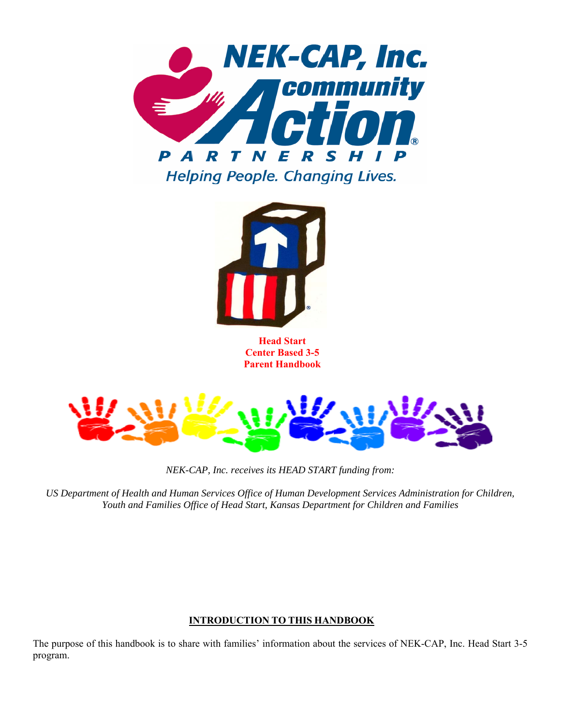



**Head Start Center Based 3-5 Parent Handbook**



*NEK-CAP, Inc. receives its HEAD START funding from:* 

*US Department of Health and Human Services Office of Human Development Services Administration for Children, Youth and Families Office of Head Start, Kansas Department for Children and Families* 

# **INTRODUCTION TO THIS HANDBOOK**

The purpose of this handbook is to share with families' information about the services of NEK-CAP, Inc. Head Start 3-5 program.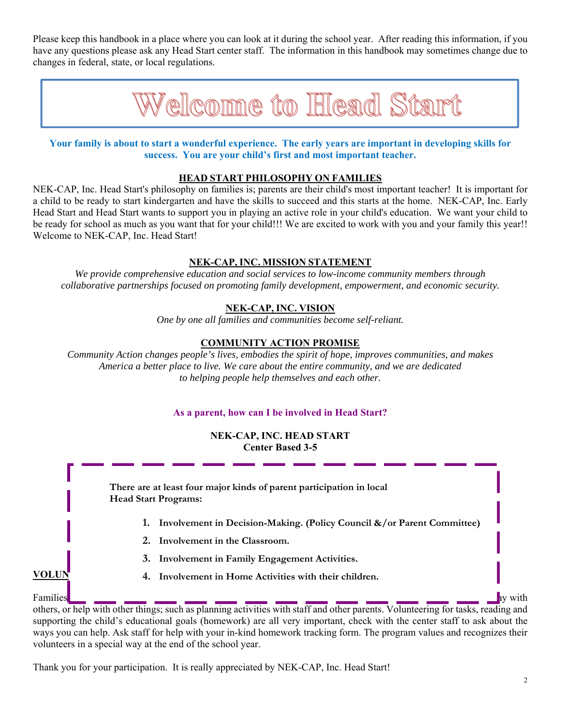Please keep this handbook in a place where you can look at it during the school year. After reading this information, if you have any questions please ask any Head Start center staff. The information in this handbook may sometimes change due to changes in federal, state, or local regulations.



**Your family is about to start a wonderful experience. The early years are important in developing skills for success. You are your child's first and most important teacher.** 

### **HEAD START PHILOSOPHY ON FAMILIES**

NEK-CAP, Inc. Head Start's philosophy on families is; parents are their child's most important teacher! It is important for a child to be ready to start kindergarten and have the skills to succeed and this starts at the home. NEK-CAP, Inc. Early Head Start and Head Start wants to support you in playing an active role in your child's education. We want your child to be ready for school as much as you want that for your child!!! We are excited to work with you and your family this year!! Welcome to NEK-CAP, Inc. Head Start!

### **NEK-CAP, INC. MISSION STATEMENT**

*We provide comprehensive education and social services to low-income community members through collaborative partnerships focused on promoting family development, empowerment, and economic security.* 

### **NEK-CAP, INC. VISION**

*One by one all families and communities become self-reliant.* 

### **COMMUNITY ACTION PROMISE**

*Community Action changes people's lives, embodies the spirit of hope, improves communities, and makes America a better place to live. We care about the entire community, and we are dedicated to helping people help themselves and each other.* 

### **As a parent, how can I be involved in Head Start?**

#### **NEK-CAP, INC. HEAD START Center Based 3-5**

**VOLUN** 4. Involvement in Home Activities with their children. Families **are asked to volunteer for Head Starter. A volunteer can help in the center activities, observe your child There are at least four major kinds of parent participation in local Head Start Programs: 1. Involvement in Decision-Making. (Policy Council &/or Parent Committee) 2. Involvement in the Classroom. 3. Involvement in Family Engagement Activities.**

others, or help with other things; such as planning activities with staff and other parents. Volunteering for tasks, reading and supporting the child's educational goals (homework) are all very important, check with the center staff to ask about the ways you can help. Ask staff for help with your in-kind homework tracking form. The program values and recognizes their volunteers in a special way at the end of the school year.

Thank you for your participation. It is really appreciated by NEK-CAP, Inc. Head Start!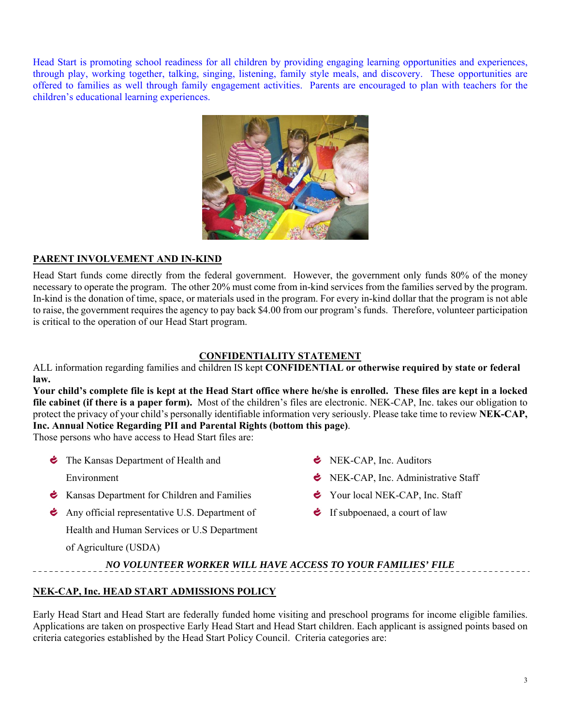Head Start is promoting school readiness for all children by providing engaging learning opportunities and experiences, through play, working together, talking, singing, listening, family style meals, and discovery. These opportunities are offered to families as well through family engagement activities. Parents are encouraged to plan with teachers for the children's educational learning experiences.



# **PARENT INVOLVEMENT AND IN-KIND**

Head Start funds come directly from the federal government. However, the government only funds 80% of the money necessary to operate the program. The other 20% must come from in-kind services from the families served by the program. In-kind is the donation of time, space, or materials used in the program. For every in-kind dollar that the program is not able to raise, the government requires the agency to pay back \$4.00 from our program's funds. Therefore, volunteer participation is critical to the operation of our Head Start program.

# **CONFIDENTIALITY STATEMENT**

ALL information regarding families and children IS kept **CONFIDENTIAL or otherwise required by state or federal law.**

**Your child's complete file is kept at the Head Start office where he/she is enrolled. These files are kept in a locked file cabinet (if there is a paper form).** Most of the children's files are electronic. NEK-CAP, Inc. takes our obligation to protect the privacy of your child's personally identifiable information very seriously. Please take time to review **NEK-CAP, Inc. Annual Notice Regarding PII and Parental Rights (bottom this page)**.

Those persons who have access to Head Start files are:

• The Kansas Department of Health and

Environment

- **Kansas Department for Children and Families**
- Any official representative U.S. Department of

Health and Human Services or U.S Department

of Agriculture (USDA)

- **E** NEK-CAP, Inc. Auditors
- **E** NEK-CAP, Inc. Administrative Staff
- Your local NEK-CAP, Inc. Staff
- $\bullet$  If subpoenaed, a court of law

# *NO VOLUNTEER WORKER WILL HAVE ACCESS TO YOUR FAMILIES' FILE*

# **NEK-CAP, Inc. HEAD START ADMISSIONS POLICY**

Early Head Start and Head Start are federally funded home visiting and preschool programs for income eligible families. Applications are taken on prospective Early Head Start and Head Start children. Each applicant is assigned points based on criteria categories established by the Head Start Policy Council. Criteria categories are: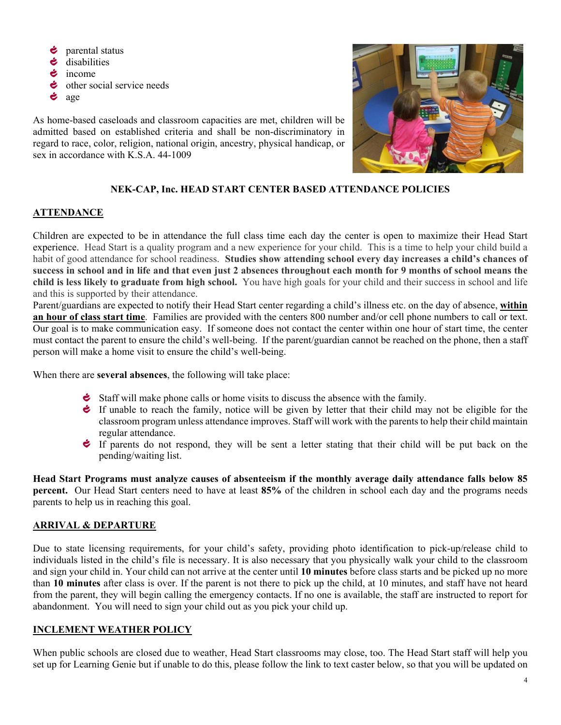Ċ parental status Ġ disabilities  $\dot{\bullet}$  income  $\bullet$  other social service needs  $\bullet$  age

As home-based caseloads and classroom capacities are met, children will be admitted based on established criteria and shall be non-discriminatory in regard to race, color, religion, national origin, ancestry, physical handicap, or sex in accordance with K.S.A. 44-1009



# **NEK-CAP, Inc. HEAD START CENTER BASED ATTENDANCE POLICIES**

### **ATTENDANCE**

Children are expected to be in attendance the full class time each day the center is open to maximize their Head Start experience. Head Start is a quality program and a new experience for your child. This is a time to help your child build a habit of good attendance for school readiness. **Studies show attending school every day increases a child's chances of success in school and in life and that even just 2 absences throughout each month for 9 months of school means the child is less likely to graduate from high school.** You have high goals for your child and their success in school and life and this is supported by their attendance.

Parent/guardians are expected to notify their Head Start center regarding a child's illness etc. on the day of absence, **within an hour of class start time**. Families are provided with the centers 800 number and/or cell phone numbers to call or text. Our goal is to make communication easy. If someone does not contact the center within one hour of start time, the center must contact the parent to ensure the child's well-being. If the parent/guardian cannot be reached on the phone, then a staff person will make a home visit to ensure the child's well-being.

When there are **several absences**, the following will take place:

- Staff will make phone calls or home visits to discuss the absence with the family.
- If unable to reach the family, notice will be given by letter that their child may not be eligible for the classroom program unless attendance improves. Staff will work with the parents to help their child maintain regular attendance.
- If parents do not respond, they will be sent a letter stating that their child will be put back on the pending/waiting list.

**Head Start Programs must analyze causes of absenteeism if the monthly average daily attendance falls below 85 percent.** Our Head Start centers need to have at least **85%** of the children in school each day and the programs needs parents to help us in reaching this goal.

# **ARRIVAL & DEPARTURE**

Due to state licensing requirements, for your child's safety, providing photo identification to pick-up/release child to individuals listed in the child's file is necessary. It is also necessary that you physically walk your child to the classroom and sign your child in. Your child can not arrive at the center until **10 minutes** before class starts and be picked up no more than **10 minutes** after class is over. If the parent is not there to pick up the child, at 10 minutes, and staff have not heard from the parent, they will begin calling the emergency contacts. If no one is available, the staff are instructed to report for abandonment. You will need to sign your child out as you pick your child up.

### **INCLEMENT WEATHER POLICY**

When public schools are closed due to weather, Head Start classrooms may close, too. The Head Start staff will help you set up for Learning Genie but if unable to do this, please follow the link to text caster below, so that you will be updated on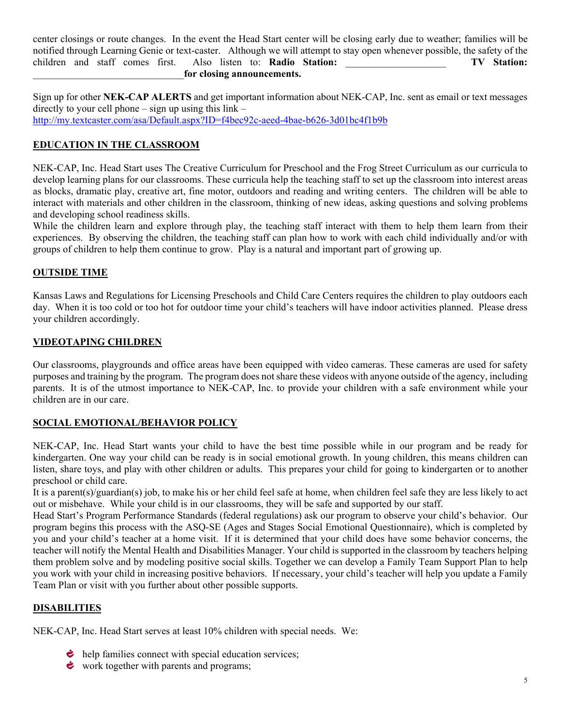center closings or route changes. In the event the Head Start center will be closing early due to weather; families will be notified through Learning Genie or text-caster. Although we will attempt to stay open whenever possible, the safety of the children and staff comes first. Also listen to: **Radio Station:** \_\_\_\_\_\_\_\_\_\_\_\_\_\_\_\_\_\_\_\_ **TV Station:**  \_\_\_\_\_\_\_\_\_\_\_\_\_\_\_\_\_\_\_\_\_\_\_\_\_\_\_\_\_\_**for closing announcements.**

Sign up for other **NEK-CAP ALERTS** and get important information about NEK-CAP, Inc. sent as email or text messages directly to your cell phone – sign up using this  $link$ http://my.textcaster.com/asa/Default.aspx?ID=f4bec92c-aeed-4bae-b626-3d01bc4f1b9b

# **EDUCATION IN THE CLASSROOM**

NEK-CAP, Inc. Head Start uses The Creative Curriculum for Preschool and the Frog Street Curriculum as our curricula to develop learning plans for our classrooms. These curricula help the teaching staff to set up the classroom into interest areas as blocks, dramatic play, creative art, fine motor, outdoors and reading and writing centers. The children will be able to interact with materials and other children in the classroom, thinking of new ideas, asking questions and solving problems and developing school readiness skills.

While the children learn and explore through play, the teaching staff interact with them to help them learn from their experiences. By observing the children, the teaching staff can plan how to work with each child individually and/or with groups of children to help them continue to grow. Play is a natural and important part of growing up.

### **OUTSIDE TIME**

Kansas Laws and Regulations for Licensing Preschools and Child Care Centers requires the children to play outdoors each day. When it is too cold or too hot for outdoor time your child's teachers will have indoor activities planned. Please dress your children accordingly.

### **VIDEOTAPING CHILDREN**

Our classrooms, playgrounds and office areas have been equipped with video cameras. These cameras are used for safety purposes and training by the program. The program does not share these videos with anyone outside of the agency, including parents. It is of the utmost importance to NEK-CAP, Inc. to provide your children with a safe environment while your children are in our care.

# **SOCIAL EMOTIONAL/BEHAVIOR POLICY**

NEK-CAP, Inc. Head Start wants your child to have the best time possible while in our program and be ready for kindergarten. One way your child can be ready is in social emotional growth. In young children, this means children can listen, share toys, and play with other children or adults. This prepares your child for going to kindergarten or to another preschool or child care.

It is a parent(s)/guardian(s) job, to make his or her child feel safe at home, when children feel safe they are less likely to act out or misbehave. While your child is in our classrooms, they will be safe and supported by our staff.

Head Start's Program Performance Standards (federal regulations) ask our program to observe your child's behavior. Our program begins this process with the ASQ-SE (Ages and Stages Social Emotional Questionnaire), which is completed by you and your child's teacher at a home visit. If it is determined that your child does have some behavior concerns, the teacher will notify the Mental Health and Disabilities Manager. Your child is supported in the classroom by teachers helping them problem solve and by modeling positive social skills. Together we can develop a Family Team Support Plan to help you work with your child in increasing positive behaviors. If necessary, your child's teacher will help you update a Family Team Plan or visit with you further about other possible supports.

### **DISABILITIES**

NEK-CAP, Inc. Head Start serves at least 10% children with special needs. We:

- $\bullet$  help families connect with special education services;
- work together with parents and programs;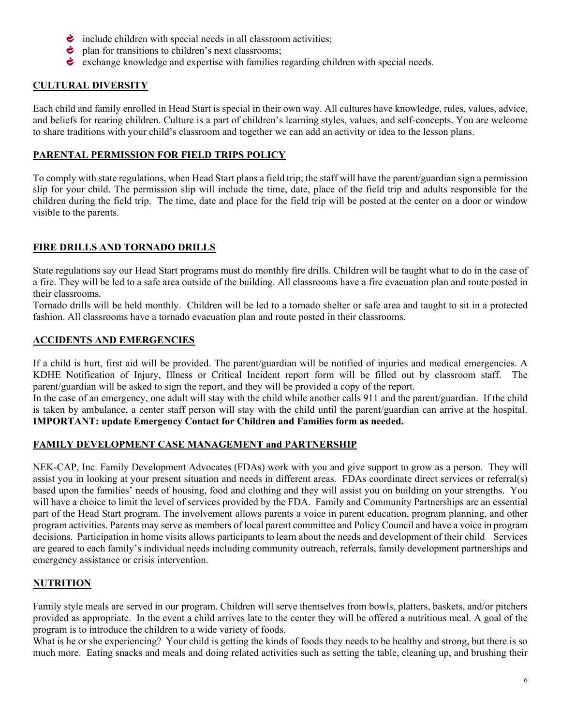- $\bullet$  include children with special needs in all classroom activities;
- $\bullet$  plan for transitions to children's next classrooms;
- exchange knowledge and expertise with families regarding children with special needs.

# **CULTURAL DIVERSITY**

Each child and family enrolled in Head Start is special in their own way. All cultures have knowledge, rules, values, advice, and beliefs for rearing children. Culture is a part of children's learning styles, values, and self-concepts. You are welcome to share traditions with your child's classroom and together we can add an activity or idea to the lesson plans.

# **PARENTAL PERMISSION FOR FIELD TRIPS POLICY**

To comply with state regulations, when Head Start plans a field trip; the staff will have the parent/guardian sign a permission slip for your child. The permission slip will include the time, date, place of the field trip and adults responsible for the children during the field trip. The time, date and place for the field trip will be posted at the center on a door or window visible to the parents.

# **FIRE DRILLS AND TORNADO DRILLS**

State regulations say our Head Start programs must do monthly fire drills. Children will be taught what to do in the case of a fire. They will be led to a safe area outside of the building. All classrooms have a fire evacuation plan and route posted in their classrooms.

Tornado drills will be held monthly. Children will be led to a tornado shelter or safe area and taught to sit in a protected fashion. All classrooms have a tornado evacuation plan and route posted in their classrooms.

# **ACCIDENTS AND EMERGENCIES**

If a child is hurt, first aid will be provided. The parent/guardian will be notified of injuries and medical emergencies. A KDHE Notification of Injury, Illness or Critical Incident report form will be filled out by classroom staff. The parent/guardian will be asked to sign the report, and they will be provided a copy of the report.

In the case of an emergency, one adult will stay with the child while another calls 911 and the parent/guardian. If the child is taken by ambulance, a center staff person will stay with the child until the parent/guardian can arrive at the hospital. **IMPORTANT: update Emergency Contact for Children and Families form as needed.** 

# **FAMILY DEVELOPMENT CASE MANAGEMENT and PARTNERSHIP**

NEK-CAP, Inc. Family Development Advocates (FDAs) work with you and give support to grow as a person. They will assist you in looking at your present situation and needs in different areas. FDAs coordinate direct services or referral(s) based upon the families' needs of housing, food and clothing and they will assist you on building on your strengths. You will have a choice to limit the level of services provided by the FDA. Family and Community Partnerships are an essential part of the Head Start program. The involvement allows parents a voice in parent education, program planning, and other program activities. Parents may serve as members of local parent committee and Policy Council and have a voice in program decisions. Participation in home visits allows participants to learn about the needs and development of their child Services are geared to each family's individual needs including community outreach, referrals, family development partnerships and emergency assistance or crisis intervention.

# **NUTRITION**

Family style meals are served in our program. Children will serve themselves from bowls, platters, baskets, and/or pitchers provided as appropriate. In the event a child arrives late to the center they will be offered a nutritious meal. A goal of the program is to introduce the children to a wide variety of foods.

What is he or she experiencing? Your child is getting the kinds of foods they needs to be healthy and strong, but there is so much more. Eating snacks and meals and doing related activities such as setting the table, cleaning up, and brushing their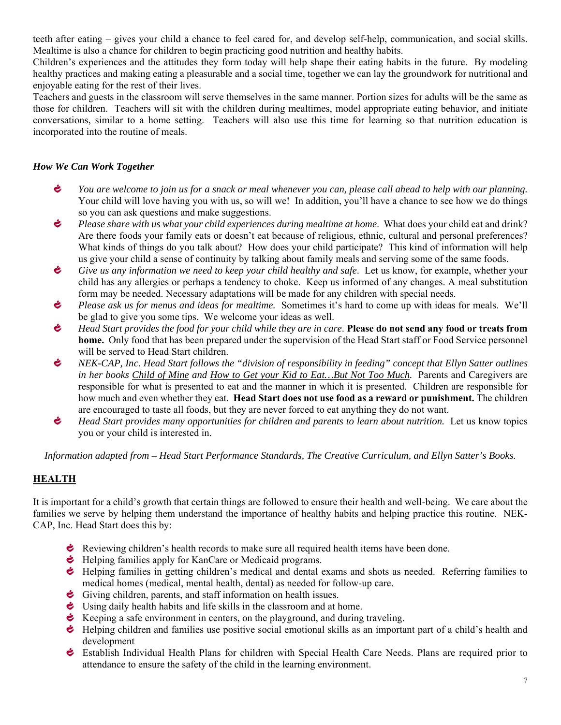teeth after eating – gives your child a chance to feel cared for, and develop self-help, communication, and social skills. Mealtime is also a chance for children to begin practicing good nutrition and healthy habits.

Children's experiences and the attitudes they form today will help shape their eating habits in the future. By modeling healthy practices and making eating a pleasurable and a social time, together we can lay the groundwork for nutritional and enjoyable eating for the rest of their lives.

Teachers and guests in the classroom will serve themselves in the same manner. Portion sizes for adults will be the same as those for children. Teachers will sit with the children during mealtimes, model appropriate eating behavior, and initiate conversations, similar to a home setting. Teachers will also use this time for learning so that nutrition education is incorporated into the routine of meals.

# *How We Can Work Together*

- Ċ. *You are welcome to join us for a snack or meal whenever you can, please call ahead to help with our planning.* Your child will love having you with us, so will we! In addition, you'll have a chance to see how we do things so you can ask questions and make suggestions.
- ڂ *Please share with us what your child experiences during mealtime at home*. What does your child eat and drink? Are there foods your family eats or doesn't eat because of religious, ethnic, cultural and personal preferences? What kinds of things do you talk about? How does your child participate? This kind of information will help us give your child a sense of continuity by talking about family meals and serving some of the same foods.
- Ċ *Give us any information we need to keep your child healthy and safe*. Let us know, for example, whether your child has any allergies or perhaps a tendency to choke. Keep us informed of any changes. A meal substitution form may be needed. Necessary adaptations will be made for any children with special needs.
- ی *Please ask us for menus and ideas for mealtime.* Sometimes it's hard to come up with ideas for meals. We'll be glad to give you some tips. We welcome your ideas as well.
- ¢. *Head Start provides the food for your child while they are in care*. **Please do not send any food or treats from home.** Only food that has been prepared under the supervision of the Head Start staff or Food Service personnel will be served to Head Start children.
- ڂ *NEK-CAP, Inc. Head Start follows the "division of responsibility in feeding" concept that Ellyn Satter outlines in her books Child of Mine and How to Get your Kid to Eat…But Not Too Much.* Parents and Caregivers are responsible for what is presented to eat and the manner in which it is presented. Children are responsible for how much and even whether they eat. **Head Start does not use food as a reward or punishment.** The children are encouraged to taste all foods, but they are never forced to eat anything they do not want.
- Ċ. *Head Start provides many opportunities for children and parents to learn about nutrition.* Let us know topics you or your child is interested in.

*Information adapted from – Head Start Performance Standards, The Creative Curriculum, and Ellyn Satter's Books.* 

# **HEALTH**

It is important for a child's growth that certain things are followed to ensure their health and well-being. We care about the families we serve by helping them understand the importance of healthy habits and helping practice this routine. NEK-CAP, Inc. Head Start does this by:

- Reviewing children's health records to make sure all required health items have been done.
- $\bullet$  Helping families apply for KanCare or Medicaid programs.
- $\bullet$  Helping families in getting children's medical and dental exams and shots as needed. Referring families to medical homes (medical, mental health, dental) as needed for follow-up care.
- Giving children, parents, and staff information on health issues.
- Using daily health habits and life skills in the classroom and at home.
- Keeping a safe environment in centers, on the playground, and during traveling.
- $\bullet$  Helping children and families use positive social emotional skills as an important part of a child's health and development
- Establish Individual Health Plans for children with Special Health Care Needs. Plans are required prior to attendance to ensure the safety of the child in the learning environment.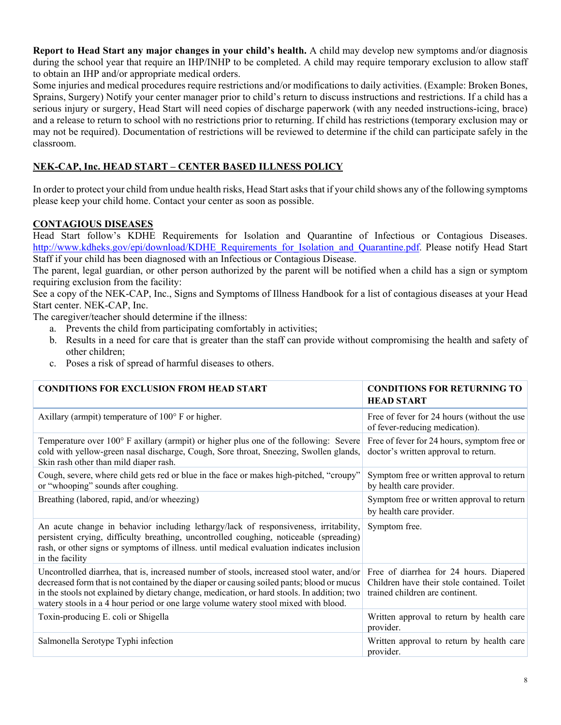**Report to Head Start any major changes in your child's health.** A child may develop new symptoms and/or diagnosis during the school year that require an IHP/INHP to be completed. A child may require temporary exclusion to allow staff to obtain an IHP and/or appropriate medical orders.

Some injuries and medical procedures require restrictions and/or modifications to daily activities. (Example: Broken Bones, Sprains, Surgery) Notify your center manager prior to child's return to discuss instructions and restrictions. If a child has a serious injury or surgery, Head Start will need copies of discharge paperwork (with any needed instructions-icing, brace) and a release to return to school with no restrictions prior to returning. If child has restrictions (temporary exclusion may or may not be required). Documentation of restrictions will be reviewed to determine if the child can participate safely in the classroom.

# **NEK-CAP, Inc. HEAD START – CENTER BASED ILLNESS POLICY**

In order to protect your child from undue health risks, Head Start asks that if your child shows any of the following symptoms please keep your child home. Contact your center as soon as possible.

# **CONTAGIOUS DISEASES**

Head Start follow's KDHE Requirements for Isolation and Quarantine of Infectious or Contagious Diseases. http://www.kdheks.gov/epi/download/KDHE\_Requirements\_for\_Isolation\_and\_Quarantine.pdf. Please notify Head Start Staff if your child has been diagnosed with an Infectious or Contagious Disease.

The parent, legal guardian, or other person authorized by the parent will be notified when a child has a sign or symptom requiring exclusion from the facility:

See a copy of the NEK-CAP, Inc., Signs and Symptoms of Illness Handbook for a list of contagious diseases at your Head Start center. NEK-CAP, Inc.

The caregiver/teacher should determine if the illness:

- a. Prevents the child from participating comfortably in activities;
- b. Results in a need for care that is greater than the staff can provide without compromising the health and safety of other children;
- c. Poses a risk of spread of harmful diseases to others.

| <b>CONDITIONS FOR EXCLUSION FROM HEAD START</b>                                                                                                                                                                                                                                                                                                                               | <b>CONDITIONS FOR RETURNING TO</b><br><b>HEAD START</b>                                                                   |
|-------------------------------------------------------------------------------------------------------------------------------------------------------------------------------------------------------------------------------------------------------------------------------------------------------------------------------------------------------------------------------|---------------------------------------------------------------------------------------------------------------------------|
| Axillary (armpit) temperature of 100° F or higher.                                                                                                                                                                                                                                                                                                                            | Free of fever for 24 hours (without the use<br>of fever-reducing medication).                                             |
| Temperature over 100° F axillary (armpit) or higher plus one of the following: Severe<br>cold with yellow-green nasal discharge, Cough, Sore throat, Sneezing, Swollen glands,<br>Skin rash other than mild diaper rash.                                                                                                                                                      | Free of fever for 24 hours, symptom free or<br>doctor's written approval to return.                                       |
| Cough, severe, where child gets red or blue in the face or makes high-pitched, "croupy"<br>or "whooping" sounds after coughing.                                                                                                                                                                                                                                               | Symptom free or written approval to return<br>by health care provider.                                                    |
| Breathing (labored, rapid, and/or wheezing)                                                                                                                                                                                                                                                                                                                                   | Symptom free or written approval to return<br>by health care provider.                                                    |
| An acute change in behavior including lethargy/lack of responsiveness, irritability,<br>persistent crying, difficulty breathing, uncontrolled coughing, noticeable (spreading)<br>rash, or other signs or symptoms of illness. until medical evaluation indicates inclusion<br>in the facility                                                                                | Symptom free.                                                                                                             |
| Uncontrolled diarrhea, that is, increased number of stools, increased stool water, and/or<br>decreased form that is not contained by the diaper or causing soiled pants; blood or mucus<br>in the stools not explained by dietary change, medication, or hard stools. In addition; two<br>watery stools in a 4 hour period or one large volume watery stool mixed with blood. | Free of diarrhea for 24 hours. Diapered<br>Children have their stole contained. Toilet<br>trained children are continent. |
| Toxin-producing E. coli or Shigella                                                                                                                                                                                                                                                                                                                                           | Written approval to return by health care<br>provider.                                                                    |
| Salmonella Serotype Typhi infection                                                                                                                                                                                                                                                                                                                                           | Written approval to return by health care<br>provider.                                                                    |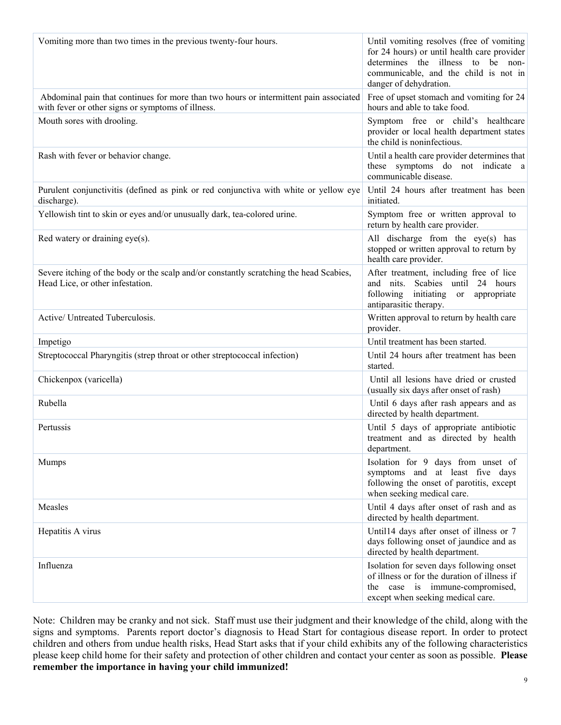| Vomiting more than two times in the previous twenty-four hours.                                                                            | Until vomiting resolves (free of vomiting<br>for 24 hours) or until health care provider<br>determines the illness to be non-<br>communicable, and the child is not in<br>danger of dehydration. |
|--------------------------------------------------------------------------------------------------------------------------------------------|--------------------------------------------------------------------------------------------------------------------------------------------------------------------------------------------------|
| Abdominal pain that continues for more than two hours or intermittent pain associated<br>with fever or other signs or symptoms of illness. | Free of upset stomach and vomiting for 24<br>hours and able to take food.                                                                                                                        |
| Mouth sores with drooling.                                                                                                                 | Symptom free or child's healthcare<br>provider or local health department states<br>the child is noninfectious.                                                                                  |
| Rash with fever or behavior change.                                                                                                        | Until a health care provider determines that<br>these symptoms do not indicate a<br>communicable disease.                                                                                        |
| Purulent conjunctivitis (defined as pink or red conjunctiva with white or yellow eye<br>discharge).                                        | Until 24 hours after treatment has been<br>initiated.                                                                                                                                            |
| Yellowish tint to skin or eyes and/or unusually dark, tea-colored urine.                                                                   | Symptom free or written approval to<br>return by health care provider.                                                                                                                           |
| Red watery or draining eye(s).                                                                                                             | All discharge from the eye(s) has<br>stopped or written approval to return by<br>health care provider.                                                                                           |
| Severe itching of the body or the scalp and/or constantly scratching the head Scabies,<br>Head Lice, or other infestation.                 | After treatment, including free of lice<br>Scabies until 24 hours<br>and nits.<br>following initiating<br>appropriate<br>or<br>antiparasitic therapy.                                            |
| Active/ Untreated Tuberculosis.                                                                                                            | Written approval to return by health care<br>provider.                                                                                                                                           |
| Impetigo                                                                                                                                   | Until treatment has been started.                                                                                                                                                                |
| Streptococcal Pharyngitis (strep throat or other streptococcal infection)                                                                  | Until 24 hours after treatment has been<br>started.                                                                                                                                              |
| Chickenpox (varicella)                                                                                                                     | Until all lesions have dried or crusted<br>(usually six days after onset of rash)                                                                                                                |
| Rubella                                                                                                                                    | Until 6 days after rash appears and as<br>directed by health department.                                                                                                                         |
| Pertussis                                                                                                                                  | Until 5 days of appropriate antibiotic<br>treatment and as directed by health<br>department.                                                                                                     |
| <b>Mumps</b>                                                                                                                               | Isolation for 9 days from unset of<br>symptoms and at least five days<br>following the onset of parotitis, except<br>when seeking medical care.                                                  |
| Measles                                                                                                                                    | Until 4 days after onset of rash and as<br>directed by health department.                                                                                                                        |
| Hepatitis A virus                                                                                                                          | Until14 days after onset of illness or 7<br>days following onset of jaundice and as<br>directed by health department.                                                                            |
| Influenza                                                                                                                                  | Isolation for seven days following onset<br>of illness or for the duration of illness if<br>the case is immune-compromised,<br>except when seeking medical care.                                 |

Note: Children may be cranky and not sick. Staff must use their judgment and their knowledge of the child, along with the signs and symptoms. Parents report doctor's diagnosis to Head Start for contagious disease report. In order to protect children and others from undue health risks, Head Start asks that if your child exhibits any of the following characteristics please keep child home for their safety and protection of other children and contact your center as soon as possible. **Please remember the importance in having your child immunized!**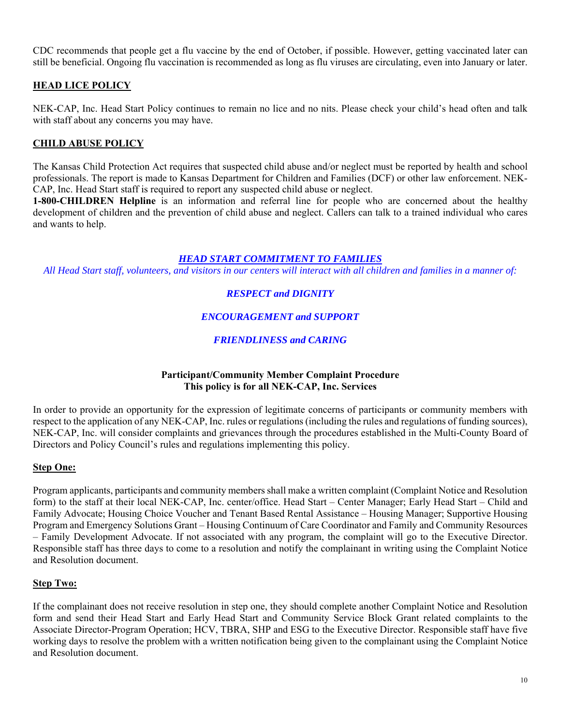CDC recommends that people get a flu vaccine by the end of October, if possible. However, getting vaccinated later can still be beneficial. Ongoing flu vaccination is recommended as long as flu viruses are circulating, even into January or later.

# **HEAD LICE POLICY**

NEK-CAP, Inc. Head Start Policy continues to remain no lice and no nits. Please check your child's head often and talk with staff about any concerns you may have.

# **CHILD ABUSE POLICY**

The Kansas Child Protection Act requires that suspected child abuse and/or neglect must be reported by health and school professionals. The report is made to Kansas Department for Children and Families (DCF) or other law enforcement. NEK-CAP, Inc. Head Start staff is required to report any suspected child abuse or neglect.

**1-800-CHILDREN Helpline** is an information and referral line for people who are concerned about the healthy development of children and the prevention of child abuse and neglect. Callers can talk to a trained individual who cares and wants to help.

### *HEAD START COMMITMENT TO FAMILIES*

*All Head Start staff, volunteers, and visitors in our centers will interact with all children and families in a manner of:* 

# *RESPECT and DIGNITY*

# *ENCOURAGEMENT and SUPPORT*

# *FRIENDLINESS and CARING*

### **Participant/Community Member Complaint Procedure This policy is for all NEK-CAP, Inc. Services**

In order to provide an opportunity for the expression of legitimate concerns of participants or community members with respect to the application of any NEK-CAP, Inc. rules or regulations (including the rules and regulations of funding sources), NEK-CAP, Inc. will consider complaints and grievances through the procedures established in the Multi-County Board of Directors and Policy Council's rules and regulations implementing this policy.

### **Step One:**

Program applicants, participants and community members shall make a written complaint (Complaint Notice and Resolution form) to the staff at their local NEK-CAP, Inc. center/office. Head Start – Center Manager; Early Head Start – Child and Family Advocate; Housing Choice Voucher and Tenant Based Rental Assistance – Housing Manager; Supportive Housing Program and Emergency Solutions Grant – Housing Continuum of Care Coordinator and Family and Community Resources – Family Development Advocate. If not associated with any program, the complaint will go to the Executive Director. Responsible staff has three days to come to a resolution and notify the complainant in writing using the Complaint Notice and Resolution document.

### **Step Two:**

If the complainant does not receive resolution in step one, they should complete another Complaint Notice and Resolution form and send their Head Start and Early Head Start and Community Service Block Grant related complaints to the Associate Director-Program Operation; HCV, TBRA, SHP and ESG to the Executive Director. Responsible staff have five working days to resolve the problem with a written notification being given to the complainant using the Complaint Notice and Resolution document.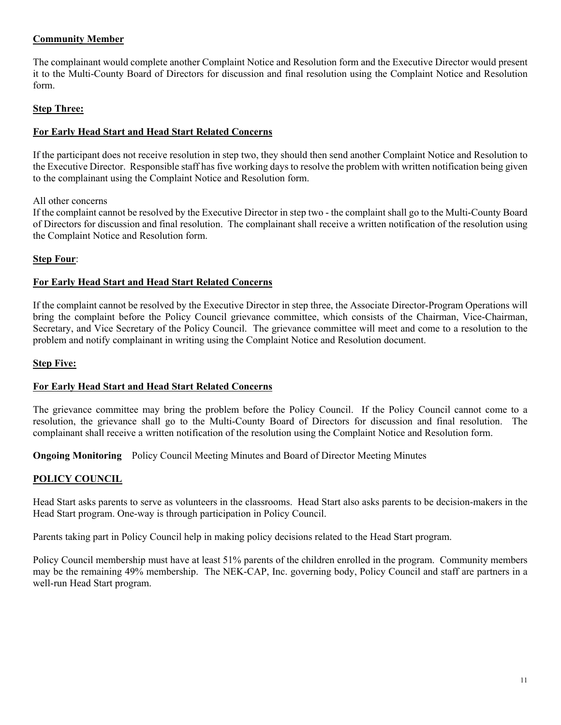# **Community Member**

The complainant would complete another Complaint Notice and Resolution form and the Executive Director would present it to the Multi-County Board of Directors for discussion and final resolution using the Complaint Notice and Resolution form.

## **Step Three:**

### **For Early Head Start and Head Start Related Concerns**

If the participant does not receive resolution in step two, they should then send another Complaint Notice and Resolution to the Executive Director. Responsible staff has five working days to resolve the problem with written notification being given to the complainant using the Complaint Notice and Resolution form.

### All other concerns

If the complaint cannot be resolved by the Executive Director in step two - the complaint shall go to the Multi-County Board of Directors for discussion and final resolution. The complainant shall receive a written notification of the resolution using the Complaint Notice and Resolution form.

### **Step Four**:

### **For Early Head Start and Head Start Related Concerns**

If the complaint cannot be resolved by the Executive Director in step three, the Associate Director-Program Operations will bring the complaint before the Policy Council grievance committee, which consists of the Chairman, Vice-Chairman, Secretary, and Vice Secretary of the Policy Council. The grievance committee will meet and come to a resolution to the problem and notify complainant in writing using the Complaint Notice and Resolution document.

#### **Step Five:**

### **For Early Head Start and Head Start Related Concerns**

The grievance committee may bring the problem before the Policy Council. If the Policy Council cannot come to a resolution, the grievance shall go to the Multi-County Board of Directors for discussion and final resolution. The complainant shall receive a written notification of the resolution using the Complaint Notice and Resolution form.

**Ongoing Monitoring** Policy Council Meeting Minutes and Board of Director Meeting Minutes

### **POLICY COUNCIL**

Head Start asks parents to serve as volunteers in the classrooms. Head Start also asks parents to be decision-makers in the Head Start program. One-way is through participation in Policy Council.

Parents taking part in Policy Council help in making policy decisions related to the Head Start program.

Policy Council membership must have at least 51% parents of the children enrolled in the program. Community members may be the remaining 49% membership. The NEK-CAP, Inc. governing body, Policy Council and staff are partners in a well-run Head Start program.